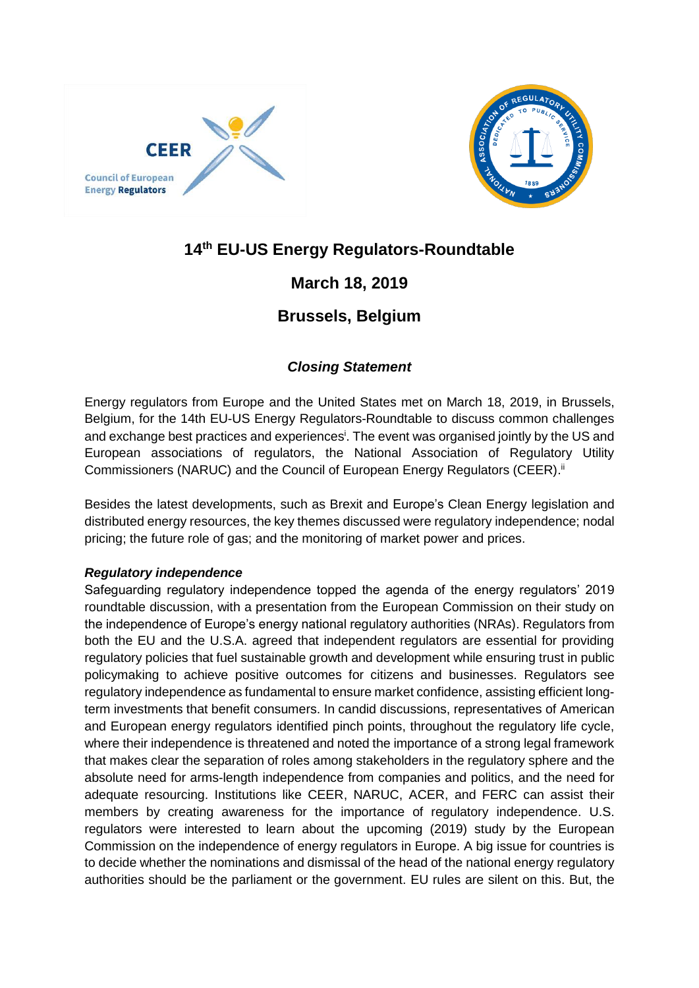



# **14 th EU-US Energy Regulators-Roundtable**

## **March 18, 2019**

## **Brussels, Belgium**

### *Closing Statement*

Energy regulators from Europe and the United States met on March 18, 2019, in Brussels, Belgium, for the [14th EU-US Energy Regulators-Roundtable](http://www.energy-regulators.eu/portal/page/portal/EER_HOME/EER_INTERNATIONAL/EU-US%20Roundtable/10supthsup%20EU-US%20Roundtable) to discuss common challenges and exchange best practices and experiences<sup>i</sup>. The event was organised jointly by the US and European associations of regulators, the National Association of Regulatory Utility Commissioners (NARUC) and the Council of European Energy Regulators (CEER).<sup>ii</sup>

Besides the latest developments, such as Brexit and Europe's Clean Energy legislation and distributed energy resources, the key themes discussed were regulatory independence; nodal pricing; the future role of gas; and the monitoring of market power and prices.

### *Regulatory independence*

Safeguarding regulatory independence topped the agenda of the energy regulators' 2019 roundtable discussion, with a presentation from the European Commission on their study on the independence of Europe's energy national regulatory authorities (NRAs). Regulators from both the EU and the U.S.A. agreed that independent regulators are essential for providing regulatory policies that fuel sustainable growth and development while ensuring trust in public policymaking to achieve positive outcomes for citizens and businesses. Regulators see regulatory independence as fundamental to ensure market confidence, assisting efficient longterm investments that benefit consumers. In candid discussions, representatives of American and European energy regulators identified pinch points, throughout the regulatory life cycle, where their independence is threatened and noted the importance of a strong legal framework that makes clear the separation of roles among stakeholders in the regulatory sphere and the absolute need for arms-length independence from companies and politics, and the need for adequate resourcing. Institutions like CEER, NARUC, ACER, and FERC can assist their members by creating awareness for the importance of regulatory independence. U.S. regulators were interested to learn about the upcoming (2019) study by the European Commission on the independence of energy regulators in Europe. A big issue for countries is to decide whether the nominations and dismissal of the head of the national energy regulatory authorities should be the parliament or the government. EU rules are silent on this. But, the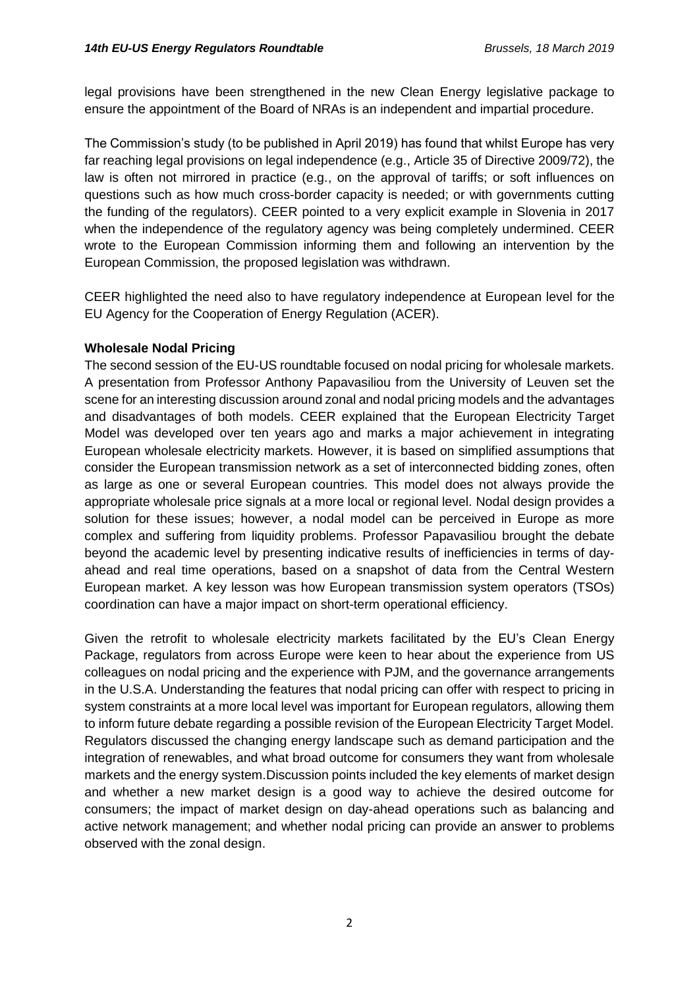legal provisions have been strengthened in the new Clean Energy legislative package to ensure the appointment of the Board of NRAs is an independent and impartial procedure.

The Commission's study (to be published in April 2019) has found that whilst Europe has very far reaching legal provisions on legal independence (e.g., Article 35 of Directive 2009/72), the law is often not mirrored in practice (e.g., on the approval of tariffs; or soft influences on questions such as how much cross-border capacity is needed; or with governments cutting the funding of the regulators). CEER pointed to a very explicit example in Slovenia in 2017 when the independence of the regulatory agency was being completely undermined. CEER wrote to the European Commission informing them and following an intervention by the European Commission, the proposed legislation was withdrawn.

CEER highlighted the need also to have regulatory independence at European level for the EU Agency for the Cooperation of Energy Regulation (ACER).

#### **Wholesale Nodal Pricing**

The second session of the EU-US roundtable focused on nodal pricing for wholesale markets. A presentation from Professor Anthony Papavasiliou from the University of Leuven set the scene for an interesting discussion around zonal and nodal pricing models and the advantages and disadvantages of both models. CEER explained that the European Electricity Target Model was developed over ten years ago and marks a major achievement in integrating European wholesale electricity markets. However, it is based on simplified assumptions that consider the European transmission network as a set of interconnected bidding zones, often as large as one or several European countries. This model does not always provide the appropriate wholesale price signals at a more local or regional level. Nodal design provides a solution for these issues; however, a nodal model can be perceived in Europe as more complex and suffering from liquidity problems. Professor Papavasiliou brought the debate beyond the academic level by presenting indicative results of inefficiencies in terms of dayahead and real time operations, based on a snapshot of data from the Central Western European market. A key lesson was how European transmission system operators (TSOs) coordination can have a major impact on short-term operational efficiency.

Given the retrofit to wholesale electricity markets facilitated by the EU's Clean Energy Package, regulators from across Europe were keen to hear about the experience from US colleagues on nodal pricing and the experience with PJM, and the governance arrangements in the U.S.A. Understanding the features that nodal pricing can offer with respect to pricing in system constraints at a more local level was important for European regulators, allowing them to inform future debate regarding a possible revision of the European Electricity Target Model. Regulators discussed the changing energy landscape such as demand participation and the integration of renewables, and what broad outcome for consumers they want from wholesale markets and the energy system.Discussion points included the key elements of market design and whether a new market design is a good way to achieve the desired outcome for consumers; the impact of market design on day-ahead operations such as balancing and active network management; and whether nodal pricing can provide an answer to problems observed with the zonal design.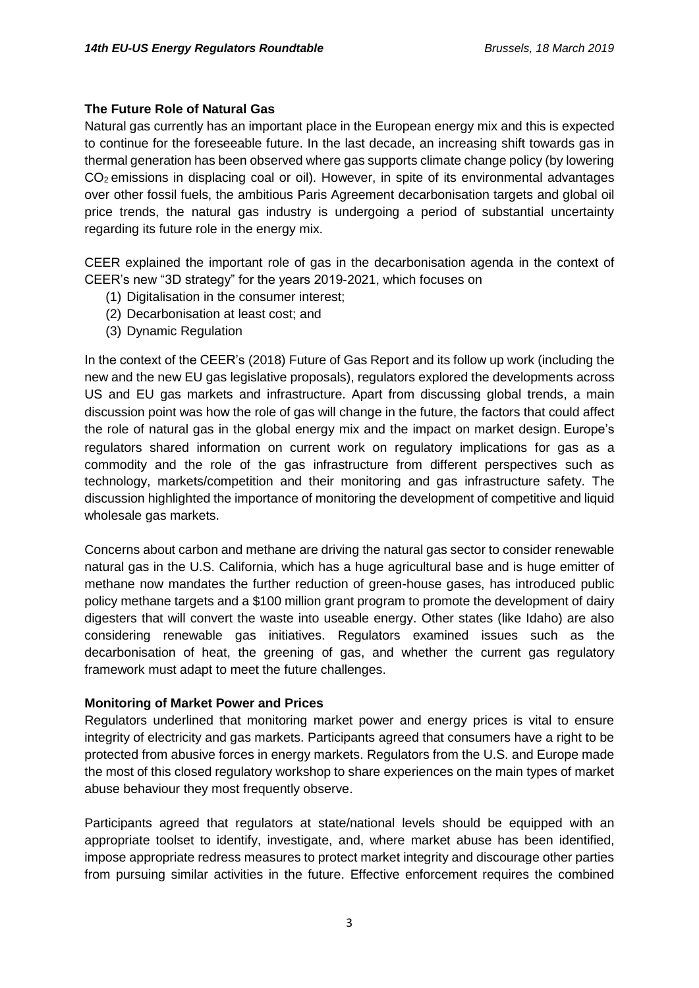### **The Future Role of Natural Gas**

Natural gas currently has an important place in the European energy mix and this is expected to continue for the foreseeable future. In the last decade, an increasing shift towards gas in thermal generation has been observed where gas supports climate change policy (by lowering CO<sup>2</sup> emissions in displacing coal or oil). However, in spite of its environmental advantages over other fossil fuels, the ambitious Paris Agreement decarbonisation targets and global oil price trends, the natural gas industry is undergoing a period of substantial uncertainty regarding its future role in the energy mix.

CEER explained the important role of gas in the decarbonisation agenda in the context of CEER's new "3D strategy" for the years 2019-2021, which focuses on

- (1) Digitalisation in the consumer interest;
- (2) Decarbonisation at least cost; and
- (3) Dynamic Regulation

In the context of the CEER's (2018) Future of Gas Report and its follow up work (including the new and the new EU gas legislative proposals), regulators explored the developments across US and EU gas markets and infrastructure. Apart from discussing global trends, a main discussion point was how the role of gas will change in the future, the factors that could affect the role of natural gas in the global energy mix and the impact on market design. Europe's regulators shared information on current work on regulatory implications for gas as a commodity and the role of the gas infrastructure from different perspectives such as technology, markets/competition and their monitoring and gas infrastructure safety. The discussion highlighted the importance of monitoring the development of competitive and liquid wholesale gas markets.

Concerns about carbon and methane are driving the natural gas sector to consider renewable natural gas in the U.S. California, which has a huge agricultural base and is huge emitter of methane now mandates the further reduction of green-house gases, has introduced public policy methane targets and a \$100 million grant program to promote the development of dairy digesters that will convert the waste into useable energy. Other states (like Idaho) are also considering renewable gas initiatives. Regulators examined issues such as the decarbonisation of heat, the greening of gas, and whether the current gas regulatory framework must adapt to meet the future challenges.

#### **Monitoring of Market Power and Prices**

Regulators underlined that monitoring market power and energy prices is vital to ensure integrity of electricity and gas markets. Participants agreed that consumers have a right to be protected from abusive forces in energy markets. Regulators from the U.S. and Europe made the most of this closed regulatory workshop to share experiences on the main types of market abuse behaviour they most frequently observe.

Participants agreed that regulators at state/national levels should be equipped with an appropriate toolset to identify, investigate, and, where market abuse has been identified, impose appropriate redress measures to protect market integrity and discourage other parties from pursuing similar activities in the future. Effective enforcement requires the combined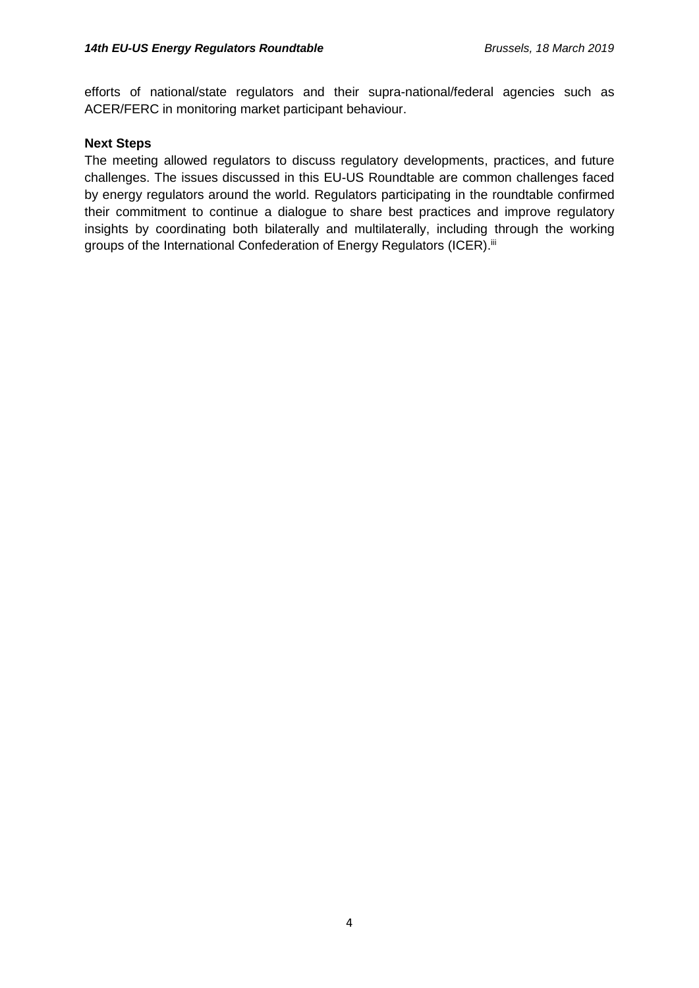efforts of national/state regulators and their supra-national/federal agencies such as ACER/FERC in monitoring market participant behaviour.

#### **Next Steps**

The meeting allowed regulators to discuss regulatory developments, practices, and future challenges. The issues discussed in this EU-US Roundtable are common challenges faced by energy regulators around the world. Regulators participating in the roundtable confirmed their commitment to continue a dialogue to share best practices and improve regulatory insights by coordinating both bilaterally and multilaterally, including through the working groups of the International Confederation of Energy Regulators (ICER).<sup>iii</sup>